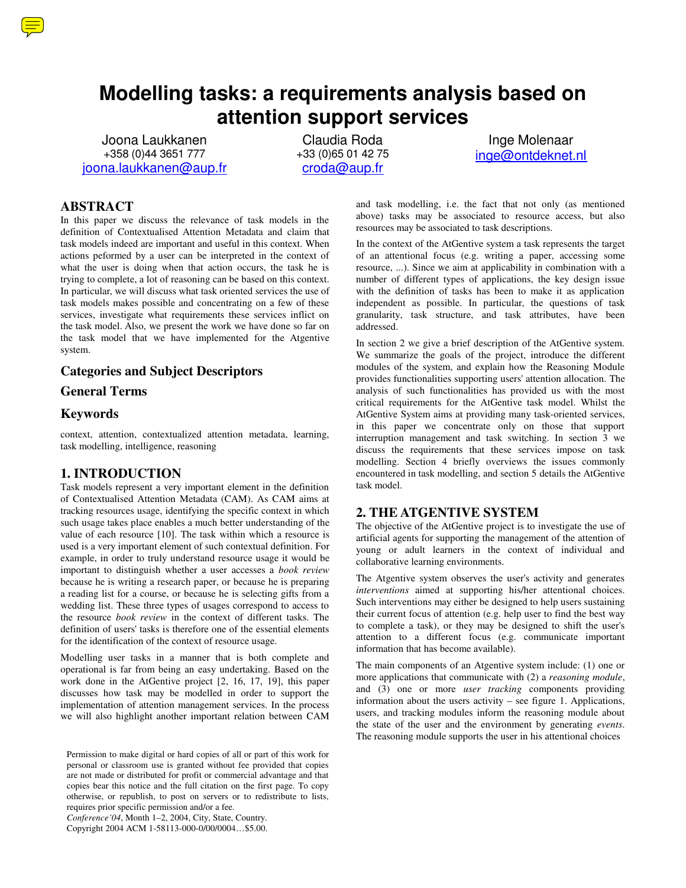# **Modelling tasks: a requirements analysis based on attention support services**

Joona Laukkanen +358 (0)44 3651 777 joona.laukkanen@aup.fr

Claudia Roda +33 (0)65 01 42 75 croda@aup.fr

Inge Molenaar inge@ontdeknet.nl

## **ABSTRACT**

In this paper we discuss the relevance of task models in the definition of Contextualised Attention Metadata and claim that task models indeed are important and useful in this context. When actions peformed by a user can be interpreted in the context of what the user is doing when that action occurs, the task he is trying to complete, a lot of reasoning can be based on this context. In particular, we will discuss what task oriented services the use of task models makes possible and concentrating on a few of these services, investigate what requirements these services inflict on the task model. Also, we present the work we have done so far on the task model that we have implemented for the Atgentive system.

## **Categories and Subject Descriptors**

## **General Terms**

## **Keywords**

context, attention, contextualized attention metadata, learning, task modelling, intelligence, reasoning

## **1. INTRODUCTION**

Task models represent a very important element in the definition of Contextualised Attention Metadata (CAM). As CAM aims at tracking resources usage, identifying the specific context in which such usage takes place enables a much better understanding of the value of each resource [10]. The task within which a resource is used is a very important element of such contextual definition. For example, in order to truly understand resource usage it would be important to distinguish whether a user accesses a *book review* because he is writing a research paper, or because he is preparing a reading list for a course, or because he is selecting gifts from a wedding list. These three types of usages correspond to access to the resource *book review* in the context of different tasks. The definition of users' tasks is therefore one of the essential elements for the identification of the context of resource usage.

Modelling user tasks in a manner that is both complete and operational is far from being an easy undertaking. Based on the work done in the AtGentive project [2, 16, 17, 19], this paper discusses how task may be modelled in order to support the implementation of attention management services. In the process we will also highlight another important relation between CAM

*Conference'04*, Month 1–2, 2004, City, State, Country.

and task modelling, i.e. the fact that not only (as mentioned above) tasks may be associated to resource access, but also resources may be associated to task descriptions.

In the context of the AtGentive system a task represents the target of an attentional focus (e.g. writing a paper, accessing some resource, ...). Since we aim at applicability in combination with a number of different types of applications, the key design issue with the definition of tasks has been to make it as application independent as possible. In particular, the questions of task granularity, task structure, and task attributes, have been addressed.

In section 2 we give a brief description of the AtGentive system. We summarize the goals of the project, introduce the different modules of the system, and explain how the Reasoning Module provides functionalities supporting users' attention allocation. The analysis of such functionalities has provided us with the most critical requirements for the AtGentive task model. Whilst the AtGentive System aims at providing many task-oriented services, in this paper we concentrate only on those that support interruption management and task switching. In section 3 we discuss the requirements that these services impose on task modelling. Section 4 briefly overviews the issues commonly encountered in task modelling, and section 5 details the AtGentive task model.

## **2. THE ATGENTIVE SYSTEM**

The objective of the AtGentive project is to investigate the use of artificial agents for supporting the management of the attention of young or adult learners in the context of individual and collaborative learning environments.

The Atgentive system observes the user's activity and generates *interventions* aimed at supporting his/her attentional choices. Such interventions may either be designed to help users sustaining their current focus of attention (e.g. help user to find the best way to complete a task), or they may be designed to shift the user's attention to a different focus (e.g. communicate important information that has become available).

The main components of an Atgentive system include: (1) one or more applications that communicate with (2) a *reasoning module*, and (3) one or more *user tracking* components providing information about the users activity – see figure 1. Applications, users, and tracking modules inform the reasoning module about the state of the user and the environment by generating *events*. The reasoning module supports the user in his attentional choices



Permission to make digital or hard copies of all or part of this work for personal or classroom use is granted without fee provided that copies are not made or distributed for profit or commercial advantage and that copies bear this notice and the full citation on the first page. To copy otherwise, or republish, to post on servers or to redistribute to lists, requires prior specific permission and/or a fee.

Copyright 2004 ACM 1-58113-000-0/00/0004…\$5.00.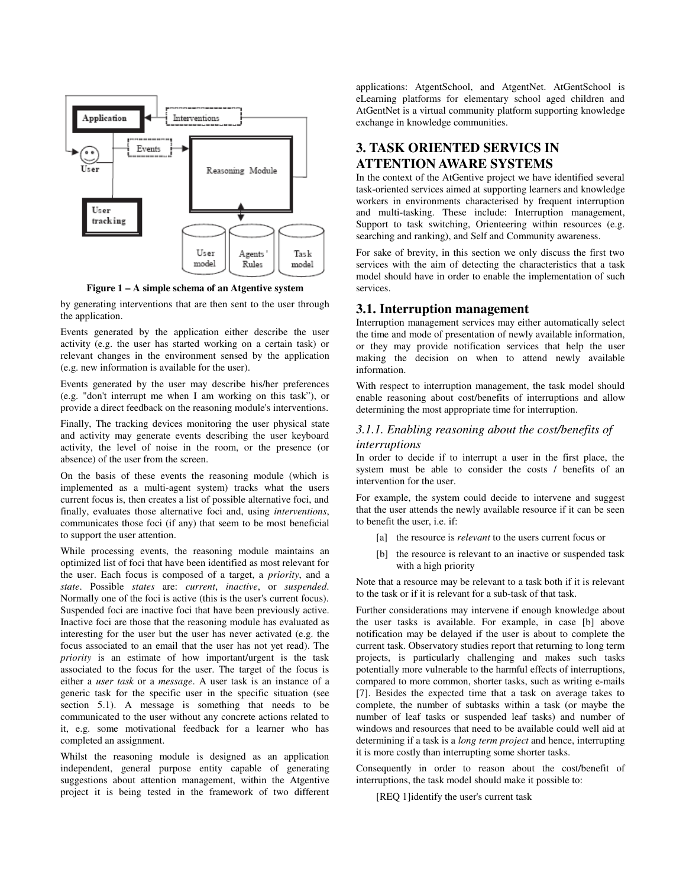

**Figure 1 – A simple schema of an Atgentive system**

by generating interventions that are then sent to the user through the application.

Events generated by the application either describe the user activity (e.g. the user has started working on a certain task) or relevant changes in the environment sensed by the application (e.g. new information is available for the user).

Events generated by the user may describe his/her preferences (e.g. "don't interrupt me when I am working on this task"), or provide a direct feedback on the reasoning module's interventions.

Finally, The tracking devices monitoring the user physical state and activity may generate events describing the user keyboard activity, the level of noise in the room, or the presence (or absence) of the user from the screen.

On the basis of these events the reasoning module (which is implemented as a multi-agent system) tracks what the users current focus is, then creates a list of possible alternative foci, and finally, evaluates those alternative foci and, using *interventions*, communicates those foci (if any) that seem to be most beneficial to support the user attention.

While processing events, the reasoning module maintains an optimized list of foci that have been identified as most relevant for the user. Each focus is composed of a target, a *priority*, and a *state*. Possible *states* are: *current*, *inactive*, or *suspended*. Normally one of the foci is active (this is the user's current focus). Suspended foci are inactive foci that have been previously active. Inactive foci are those that the reasoning module has evaluated as interesting for the user but the user has never activated (e.g. the focus associated to an email that the user has not yet read). The *priority* is an estimate of how important/urgent is the task associated to the focus for the user. The target of the focus is either a *user task* or a *message*. A user task is an instance of a generic task for the specific user in the specific situation (see section 5.1). A message is something that needs to be communicated to the user without any concrete actions related to it, e.g. some motivational feedback for a learner who has completed an assignment.

Whilst the reasoning module is designed as an application independent, general purpose entity capable of generating suggestions about attention management, within the Atgentive project it is being tested in the framework of two different

applications: AtgentSchool, and AtgentNet. AtGentSchool is eLearning platforms for elementary school aged children and AtGentNet is a virtual community platform supporting knowledge exchange in knowledge communities.

# **3. TASK ORIENTED SERVICS IN ATTENTION AWARE SYSTEMS**

In the context of the AtGentive project we have identified several task-oriented services aimed at supporting learners and knowledge workers in environments characterised by frequent interruption and multi-tasking. These include: Interruption management, Support to task switching, Orienteering within resources (e.g. searching and ranking), and Self and Community awareness.

For sake of brevity, in this section we only discuss the first two services with the aim of detecting the characteristics that a task model should have in order to enable the implementation of such services.

## **3.1. Interruption management**

Interruption management services may either automatically select the time and mode of presentation of newly available information, or they may provide notification services that help the user making the decision on when to attend newly available information.

With respect to interruption management, the task model should enable reasoning about cost/benefits of interruptions and allow determining the most appropriate time for interruption.

## *3.1.1. Enabling reasoning about the cost/benefits of interruptions*

In order to decide if to interrupt a user in the first place, the system must be able to consider the costs / benefits of an intervention for the user.

For example, the system could decide to intervene and suggest that the user attends the newly available resource if it can be seen to benefit the user, i.e. if:

- [a] the resource is *relevant* to the users current focus or
- [b] the resource is relevant to an inactive or suspended task with a high priority

Note that a resource may be relevant to a task both if it is relevant to the task or if it is relevant for a sub-task of that task.

Further considerations may intervene if enough knowledge about the user tasks is available. For example, in case [b] above notification may be delayed if the user is about to complete the current task. Observatory studies report that returning to long term projects, is particularly challenging and makes such tasks potentially more vulnerable to the harmful effects of interruptions, compared to more common, shorter tasks, such as writing e-mails [7]. Besides the expected time that a task on average takes to complete, the number of subtasks within a task (or maybe the number of leaf tasks or suspended leaf tasks) and number of windows and resources that need to be available could well aid at determining if a task is a *long term project* and hence, interrupting it is more costly than interrupting some shorter tasks.

Consequently in order to reason about the cost/benefit of interruptions, the task model should make it possible to:

[REQ 1]identify the user's current task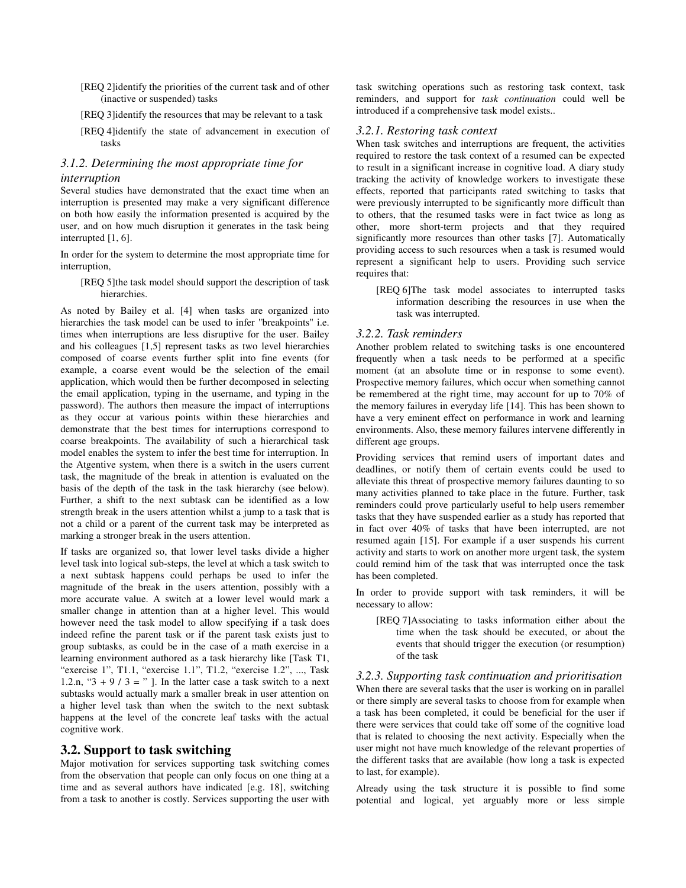- [REQ 2]identify the priorities of the current task and of other (inactive or suspended) tasks
- [REQ 3]identify the resources that may be relevant to a task
- [REQ 4]identify the state of advancement in execution of tasks

## *3.1.2. Determining the most appropriate time for interruption*

Several studies have demonstrated that the exact time when an interruption is presented may make a very significant difference on both how easily the information presented is acquired by the user, and on how much disruption it generates in the task being interrupted [1, 6].

In order for the system to determine the most appropriate time for interruption,

[REQ 5]the task model should support the description of task hierarchies.

As noted by Bailey et al. [4] when tasks are organized into hierarchies the task model can be used to infer "breakpoints" i.e. times when interruptions are less disruptive for the user. Bailey and his colleagues [1,5] represent tasks as two level hierarchies composed of coarse events further split into fine events (for example, a coarse event would be the selection of the email application, which would then be further decomposed in selecting the email application, typing in the username, and typing in the password). The authors then measure the impact of interruptions as they occur at various points within these hierarchies and demonstrate that the best times for interruptions correspond to coarse breakpoints. The availability of such a hierarchical task model enables the system to infer the best time for interruption. In the Atgentive system, when there is a switch in the users current task, the magnitude of the break in attention is evaluated on the basis of the depth of the task in the task hierarchy (see below). Further, a shift to the next subtask can be identified as a low strength break in the users attention whilst a jump to a task that is not a child or a parent of the current task may be interpreted as marking a stronger break in the users attention.

If tasks are organized so, that lower level tasks divide a higher level task into logical sub-steps, the level at which a task switch to a next subtask happens could perhaps be used to infer the magnitude of the break in the users attention, possibly with a more accurate value. A switch at a lower level would mark a smaller change in attention than at a higher level. This would however need the task model to allow specifying if a task does indeed refine the parent task or if the parent task exists just to group subtasks, as could be in the case of a math exercise in a learning environment authored as a task hierarchy like [Task T1, "exercise 1", T1.1, "exercise 1.1", T1.2, "exercise 1.2", ..., Task 1.2.n, " $3 + 9 / 3 =$ " ]. In the latter case a task switch to a next subtasks would actually mark a smaller break in user attention on a higher level task than when the switch to the next subtask happens at the level of the concrete leaf tasks with the actual cognitive work.

## **3.2. Support to task switching**

Major motivation for services supporting task switching comes from the observation that people can only focus on one thing at a time and as several authors have indicated [e.g. 18], switching from a task to another is costly. Services supporting the user with task switching operations such as restoring task context, task reminders, and support for *task continuation* could well be introduced if a comprehensive task model exists..

#### *3.2.1. Restoring task context*

When task switches and interruptions are frequent, the activities required to restore the task context of a resumed can be expected to result in a significant increase in cognitive load. A diary study tracking the activity of knowledge workers to investigate these effects, reported that participants rated switching to tasks that were previously interrupted to be significantly more difficult than to others, that the resumed tasks were in fact twice as long as other, more short-term projects and that they required significantly more resources than other tasks [7]. Automatically providing access to such resources when a task is resumed would represent a significant help to users. Providing such service requires that:

[REQ 6]The task model associates to interrupted tasks information describing the resources in use when the task was interrupted.

#### *3.2.2. Task reminders*

Another problem related to switching tasks is one encountered frequently when a task needs to be performed at a specific moment (at an absolute time or in response to some event). Prospective memory failures, which occur when something cannot be remembered at the right time, may account for up to 70% of the memory failures in everyday life [14]. This has been shown to have a very eminent effect on performance in work and learning environments. Also, these memory failures intervene differently in different age groups.

Providing services that remind users of important dates and deadlines, or notify them of certain events could be used to alleviate this threat of prospective memory failures daunting to so many activities planned to take place in the future. Further, task reminders could prove particularly useful to help users remember tasks that they have suspended earlier as a study has reported that in fact over 40% of tasks that have been interrupted, are not resumed again [15]. For example if a user suspends his current activity and starts to work on another more urgent task, the system could remind him of the task that was interrupted once the task has been completed.

In order to provide support with task reminders, it will be necessary to allow:

[REQ 7]Associating to tasks information either about the time when the task should be executed, or about the events that should trigger the execution (or resumption) of the task

## *3.2.3. Supporting task continuation and prioritisation*

When there are several tasks that the user is working on in parallel or there simply are several tasks to choose from for example when a task has been completed, it could be beneficial for the user if there were services that could take off some of the cognitive load that is related to choosing the next activity. Especially when the user might not have much knowledge of the relevant properties of the different tasks that are available (how long a task is expected to last, for example).

Already using the task structure it is possible to find some potential and logical, yet arguably more or less simple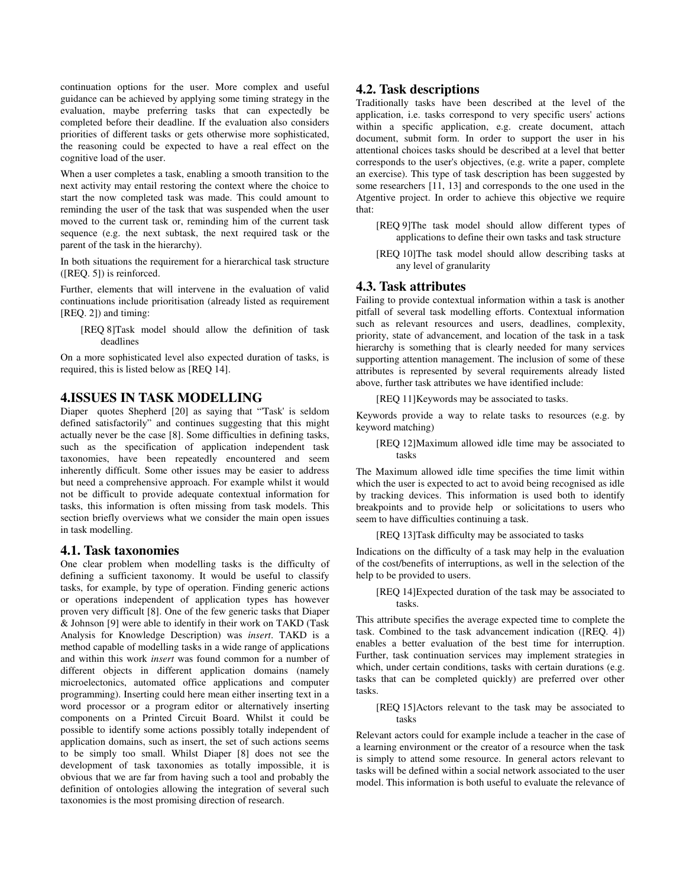continuation options for the user. More complex and useful guidance can be achieved by applying some timing strategy in the evaluation, maybe preferring tasks that can expectedly be completed before their deadline. If the evaluation also considers priorities of different tasks or gets otherwise more sophisticated, the reasoning could be expected to have a real effect on the cognitive load of the user.

When a user completes a task, enabling a smooth transition to the next activity may entail restoring the context where the choice to start the now completed task was made. This could amount to reminding the user of the task that was suspended when the user moved to the current task or, reminding him of the current task sequence (e.g. the next subtask, the next required task or the parent of the task in the hierarchy).

In both situations the requirement for a hierarchical task structure ([REQ. 5]) is reinforced.

Further, elements that will intervene in the evaluation of valid continuations include prioritisation (already listed as requirement [REQ. 2]) and timing:

[REQ 8]Task model should allow the definition of task deadlines

On a more sophisticated level also expected duration of tasks, is required, this is listed below as [REQ 14].

## **4.ISSUES IN TASK MODELLING**

Diaper quotes Shepherd [20] as saying that "Task' is seldom defined satisfactorily" and continues suggesting that this might actually never be the case [8]. Some difficulties in defining tasks, such as the specification of application independent task taxonomies, have been repeatedly encountered and seem inherently difficult. Some other issues may be easier to address but need a comprehensive approach. For example whilst it would not be difficult to provide adequate contextual information for tasks, this information is often missing from task models. This section briefly overviews what we consider the main open issues in task modelling.

#### **4.1. Task taxonomies**

One clear problem when modelling tasks is the difficulty of defining a sufficient taxonomy. It would be useful to classify tasks, for example, by type of operation. Finding generic actions or operations independent of application types has however proven very difficult [8]. One of the few generic tasks that Diaper & Johnson [9] were able to identify in their work on TAKD (Task Analysis for Knowledge Description) was *insert*. TAKD is a method capable of modelling tasks in a wide range of applications and within this work *insert* was found common for a number of different objects in different application domains (namely microelectonics, automated office applications and computer programming). Inserting could here mean either inserting text in a word processor or a program editor or alternatively inserting components on a Printed Circuit Board. Whilst it could be possible to identify some actions possibly totally independent of application domains, such as insert, the set of such actions seems to be simply too small. Whilst Diaper [8] does not see the development of task taxonomies as totally impossible, it is obvious that we are far from having such a tool and probably the definition of ontologies allowing the integration of several such taxonomies is the most promising direction of research.

## **4.2. Task descriptions**

Traditionally tasks have been described at the level of the application, i.e. tasks correspond to very specific users' actions within a specific application, e.g. create document, attach document, submit form. In order to support the user in his attentional choices tasks should be described at a level that better corresponds to the user's objectives, (e.g. write a paper, complete an exercise). This type of task description has been suggested by some researchers [11, 13] and corresponds to the one used in the Atgentive project. In order to achieve this objective we require that:

- [REQ 9]The task model should allow different types of applications to define their own tasks and task structure
- [REQ 10]The task model should allow describing tasks at any level of granularity

## **4.3. Task attributes**

Failing to provide contextual information within a task is another pitfall of several task modelling efforts. Contextual information such as relevant resources and users, deadlines, complexity, priority, state of advancement, and location of the task in a task hierarchy is something that is clearly needed for many services supporting attention management. The inclusion of some of these attributes is represented by several requirements already listed above, further task attributes we have identified include:

[REQ 11]Keywords may be associated to tasks.

Keywords provide a way to relate tasks to resources (e.g. by keyword matching)

[REQ 12]Maximum allowed idle time may be associated to tasks

The Maximum allowed idle time specifies the time limit within which the user is expected to act to avoid being recognised as idle by tracking devices. This information is used both to identify breakpoints and to provide help or solicitations to users who seem to have difficulties continuing a task.

[REQ 13]Task difficulty may be associated to tasks

Indications on the difficulty of a task may help in the evaluation of the cost/benefits of interruptions, as well in the selection of the help to be provided to users.

#### [REQ 14]Expected duration of the task may be associated to tasks.

This attribute specifies the average expected time to complete the task. Combined to the task advancement indication ([REQ. 4]) enables a better evaluation of the best time for interruption. Further, task continuation services may implement strategies in which, under certain conditions, tasks with certain durations (e.g. tasks that can be completed quickly) are preferred over other tasks.

[REQ 15]Actors relevant to the task may be associated to tasks

Relevant actors could for example include a teacher in the case of a learning environment or the creator of a resource when the task is simply to attend some resource. In general actors relevant to tasks will be defined within a social network associated to the user model. This information is both useful to evaluate the relevance of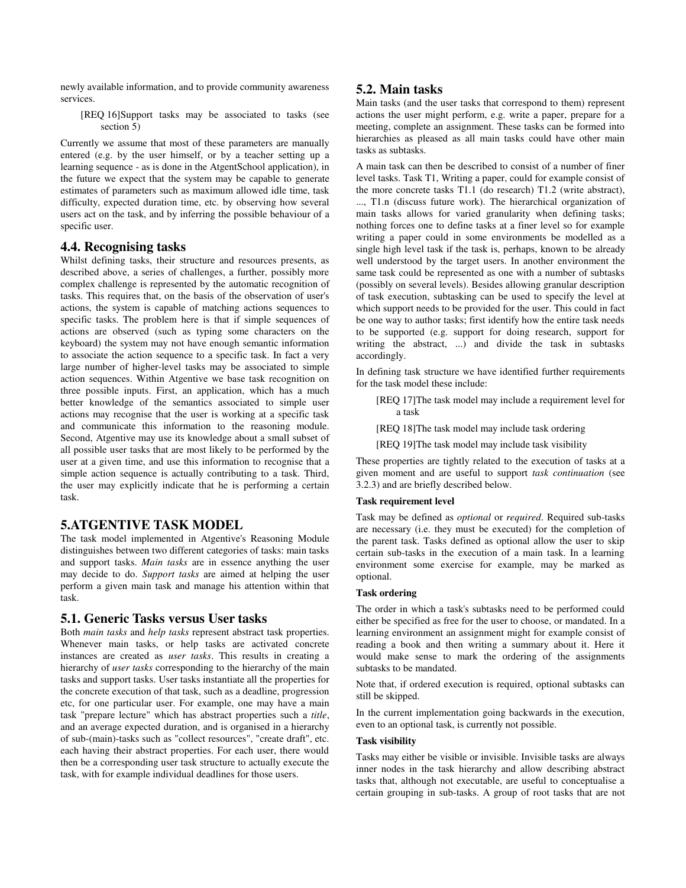newly available information, and to provide community awareness services.

[REQ 16]Support tasks may be associated to tasks (see section 5)

Currently we assume that most of these parameters are manually entered (e.g. by the user himself, or by a teacher setting up a learning sequence - as is done in the AtgentSchool application), in the future we expect that the system may be capable to generate estimates of parameters such as maximum allowed idle time, task difficulty, expected duration time, etc. by observing how several users act on the task, and by inferring the possible behaviour of a specific user.

## **4.4. Recognising tasks**

Whilst defining tasks, their structure and resources presents, as described above, a series of challenges, a further, possibly more complex challenge is represented by the automatic recognition of tasks. This requires that, on the basis of the observation of user's actions, the system is capable of matching actions sequences to specific tasks. The problem here is that if simple sequences of actions are observed (such as typing some characters on the keyboard) the system may not have enough semantic information to associate the action sequence to a specific task. In fact a very large number of higher-level tasks may be associated to simple action sequences. Within Atgentive we base task recognition on three possible inputs. First, an application, which has a much better knowledge of the semantics associated to simple user actions may recognise that the user is working at a specific task and communicate this information to the reasoning module. Second, Atgentive may use its knowledge about a small subset of all possible user tasks that are most likely to be performed by the user at a given time, and use this information to recognise that a simple action sequence is actually contributing to a task. Third, the user may explicitly indicate that he is performing a certain task.

## **5.ATGENTIVE TASK MODEL**

The task model implemented in Atgentive's Reasoning Module distinguishes between two different categories of tasks: main tasks and support tasks. *Main tasks* are in essence anything the user may decide to do. *Support tasks* are aimed at helping the user perform a given main task and manage his attention within that task.

## **5.1. Generic Tasks versus User tasks**

Both *main tasks* and *help tasks* represent abstract task properties. Whenever main tasks, or help tasks are activated concrete instances are created as *user tasks*. This results in creating a hierarchy of *user tasks* corresponding to the hierarchy of the main tasks and support tasks. User tasks instantiate all the properties for the concrete execution of that task, such as a deadline, progression etc, for one particular user. For example, one may have a main task "prepare lecture" which has abstract properties such a *title*, and an average expected duration, and is organised in a hierarchy of sub-(main)-tasks such as "collect resources", "create draft", etc. each having their abstract properties. For each user, there would then be a corresponding user task structure to actually execute the task, with for example individual deadlines for those users.

## **5.2. Main tasks**

Main tasks (and the user tasks that correspond to them) represent actions the user might perform, e.g. write a paper, prepare for a meeting, complete an assignment. These tasks can be formed into hierarchies as pleased as all main tasks could have other main tasks as subtasks.

A main task can then be described to consist of a number of finer level tasks. Task T1, Writing a paper, could for example consist of the more concrete tasks T1.1 (do research) T1.2 (write abstract), ..., T1.n (discuss future work). The hierarchical organization of main tasks allows for varied granularity when defining tasks; nothing forces one to define tasks at a finer level so for example writing a paper could in some environments be modelled as a single high level task if the task is, perhaps, known to be already well understood by the target users. In another environment the same task could be represented as one with a number of subtasks (possibly on several levels). Besides allowing granular description of task execution, subtasking can be used to specify the level at which support needs to be provided for the user. This could in fact be one way to author tasks; first identify how the entire task needs to be supported (e.g. support for doing research, support for writing the abstract, ...) and divide the task in subtasks accordingly.

In defining task structure we have identified further requirements for the task model these include:

- [REQ 17]The task model may include a requirement level for a task
- [REQ 18]The task model may include task ordering
- [REQ 19]The task model may include task visibility

These properties are tightly related to the execution of tasks at a given moment and are useful to support *task continuation* (see 3.2.3) and are briefly described below.

### **Task requirement level**

Task may be defined as *optional* or *required*. Required sub-tasks are necessary (i.e. they must be executed) for the completion of the parent task. Tasks defined as optional allow the user to skip certain sub-tasks in the execution of a main task. In a learning environment some exercise for example, may be marked as optional.

#### **Task ordering**

The order in which a task's subtasks need to be performed could either be specified as free for the user to choose, or mandated. In a learning environment an assignment might for example consist of reading a book and then writing a summary about it. Here it would make sense to mark the ordering of the assignments subtasks to be mandated.

Note that, if ordered execution is required, optional subtasks can still be skipped.

In the current implementation going backwards in the execution, even to an optional task, is currently not possible.

#### **Task visibility**

Tasks may either be visible or invisible. Invisible tasks are always inner nodes in the task hierarchy and allow describing abstract tasks that, although not executable, are useful to conceptualise a certain grouping in sub-tasks. A group of root tasks that are not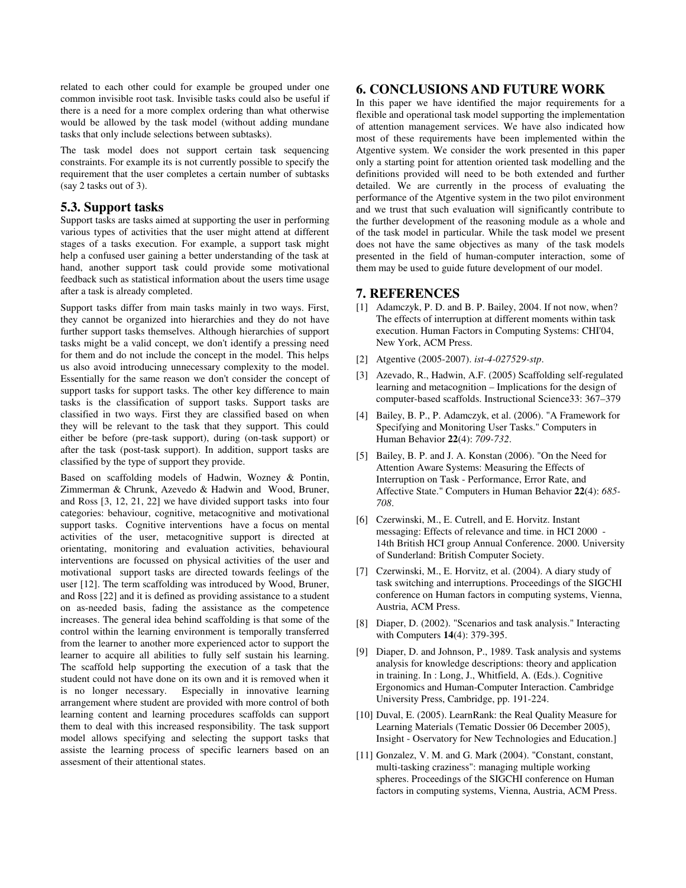related to each other could for example be grouped under one common invisible root task. Invisible tasks could also be useful if there is a need for a more complex ordering than what otherwise would be allowed by the task model (without adding mundane tasks that only include selections between subtasks).

The task model does not support certain task sequencing constraints. For example its is not currently possible to specify the requirement that the user completes a certain number of subtasks (say 2 tasks out of 3).

## **5.3. Support tasks**

Support tasks are tasks aimed at supporting the user in performing various types of activities that the user might attend at different stages of a tasks execution. For example, a support task might help a confused user gaining a better understanding of the task at hand, another support task could provide some motivational feedback such as statistical information about the users time usage after a task is already completed.

Support tasks differ from main tasks mainly in two ways. First, they cannot be organized into hierarchies and they do not have further support tasks themselves. Although hierarchies of support tasks might be a valid concept, we don't identify a pressing need for them and do not include the concept in the model. This helps us also avoid introducing unnecessary complexity to the model. Essentially for the same reason we don't consider the concept of support tasks for support tasks. The other key difference to main tasks is the classification of support tasks. Support tasks are classified in two ways. First they are classified based on when they will be relevant to the task that they support. This could either be before (pre-task support), during (on-task support) or after the task (post-task support). In addition, support tasks are classified by the type of support they provide.

Based on scaffolding models of Hadwin, Wozney & Pontin, Zimmerman & Chrunk, Azevedo & Hadwin and Wood, Bruner, and Ross [3, 12, 21, 22] we have divided support tasks into four categories: behaviour, cognitive, metacognitive and motivational support tasks. Cognitive interventions have a focus on mental activities of the user, metacognitive support is directed at orientating, monitoring and evaluation activities, behavioural interventions are focussed on physical activities of the user and motivational support tasks are directed towards feelings of the user [12]. The term scaffolding was introduced by Wood, Bruner, and Ross [22] and it is defined as providing assistance to a student on as-needed basis, fading the assistance as the competence increases. The general idea behind scaffolding is that some of the control within the learning environment is temporally transferred from the learner to another more experienced actor to support the learner to acquire all abilities to fully self sustain his learning. The scaffold help supporting the execution of a task that the student could not have done on its own and it is removed when it is no longer necessary. Especially in innovative learning arrangement where student are provided with more control of both learning content and learning procedures scaffolds can support them to deal with this increased responsibility. The task support model allows specifying and selecting the support tasks that assiste the learning process of specific learners based on an assesment of their attentional states.

## **6. CONCLUSIONS AND FUTURE WORK**

In this paper we have identified the major requirements for a flexible and operational task model supporting the implementation of attention management services. We have also indicated how most of these requirements have been implemented within the Atgentive system. We consider the work presented in this paper only a starting point for attention oriented task modelling and the definitions provided will need to be both extended and further detailed. We are currently in the process of evaluating the performance of the Atgentive system in the two pilot environment and we trust that such evaluation will significantly contribute to the further development of the reasoning module as a whole and of the task model in particular. While the task model we present does not have the same objectives as many of the task models presented in the field of human-computer interaction, some of them may be used to guide future development of our model.

#### **7. REFERENCES**

- [1] Adamczyk, P. D. and B. P. Bailey, 2004. If not now, when? The effects of interruption at different moments within task execution. Human Factors in Computing Systems: CHI'04, New York, ACM Press.
- [2] Atgentive (2005-2007). *ist-4-027529-stp*.
- [3] Azevado, R., Hadwin, A.F. (2005) Scaffolding self-regulated learning and metacognition – Implications for the design of computer-based scaffolds. Instructional Science33: 367–379
- [4] Bailey, B. P., P. Adamczyk, et al. (2006). "A Framework for Specifying and Monitoring User Tasks." Computers in Human Behavior **22**(4): *709-732*.
- [5] Bailey, B. P. and J. A. Konstan (2006). "On the Need for Attention Aware Systems: Measuring the Effects of Interruption on Task - Performance, Error Rate, and Affective State." Computers in Human Behavior **22**(4): *685- 708*.
- [6] Czerwinski, M., E. Cutrell, and E. Horvitz. Instant messaging: Effects of relevance and time. in HCI 2000 - 14th British HCI group Annual Conference. 2000. University of Sunderland: British Computer Society.
- [7] Czerwinski, M., E. Horvitz, et al. (2004). A diary study of task switching and interruptions. Proceedings of the SIGCHI conference on Human factors in computing systems, Vienna, Austria, ACM Press.
- [8] Diaper, D. (2002). "Scenarios and task analysis." Interacting with Computers **14**(4): 379-395.
- [9] Diaper, D. and Johnson, P., 1989. Task analysis and systems analysis for knowledge descriptions: theory and application in training. In : Long, J., Whitfield, A. (Eds.). Cognitive Ergonomics and Human-Computer Interaction. Cambridge University Press, Cambridge, pp. 191-224.
- [10] Duval, E. (2005). LearnRank: the Real Quality Measure for Learning Materials (Tematic Dossier 06 December 2005), Insight - Oservatory for New Technologies and Education.]
- [11] Gonzalez, V. M. and G. Mark (2004). "Constant, constant, multi-tasking craziness": managing multiple working spheres. Proceedings of the SIGCHI conference on Human factors in computing systems, Vienna, Austria, ACM Press.